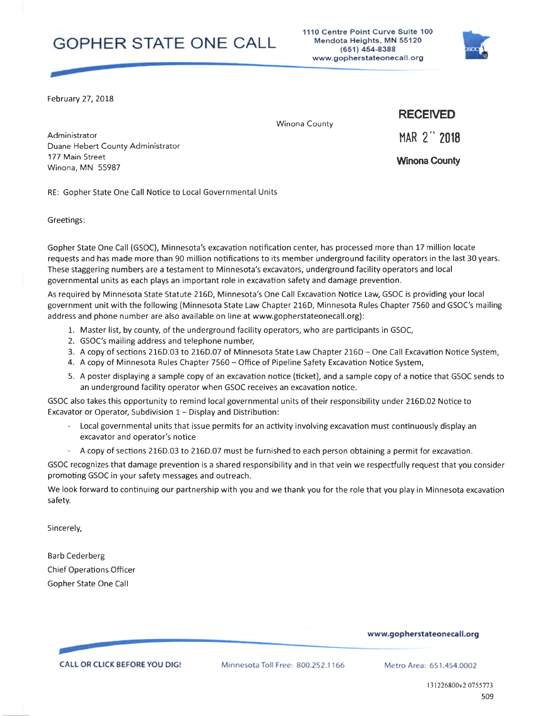# **GOPHER STATE ONE CALL**



February 27, 2018

Winona County

**MAR 2" 2018** Administrator Duane Hebert County Administrator 177 **Main** Street Winona, **MN** 55987

**RECEIVED** 

**Winona County** 

RE: Gopher State One Call Notice to Local Governmental Units

Greetings:

Gopher State One Call (GSOC), Minnesota's excavation notification center, has processed more than 17 million locate requests and has made more than 90 million notifications to its member underground facility operators in the last 30 years. These staggering numbers are a testament to Minnesota's excavators, underground facility operators and local governmental units as each plays an important role in excavation safety and damage prevention.

As required by Minnesota State Statute 216D, Minnesota's One Call Excavation Notice Law, GSOC is providing your local government unit with the following (Minnesota State Law Chapter 216D, Minnesota Rules Chapter 7560 and GSOC's mailing address and phone number are also available on line at www.gopherstateonecall.org):

- 1. Master list, by county, of the underground facility operators, who are participants in GSOC,
- 2. GSOC's mailing address and telephone number,
- 3. A copy of sections 216D.03 to 216D.07 of Minnesota State Law Chapter 216D One Call Excavation Notice System,
- **4. A** copy of Minnesota Rules Chapter 7560 Office of Pipeline Safety Excavation Notice System,
- 5. A poster displaying a sample copy of an excavation notice (ticket), and a sample copy of a notice that GSOC sends to an underground facility operator when GSOC receives an excavation notice.

GSOC also takes this opportunity to remind local governmental units of their responsibility under 216D.02 Notice to Excavator or Operator, Subdivision 1 - Display and Distribution:

- Local governmental units that issue permits for an activity involving excavation must continuously display an excavator and operator's notice
- A copy of sections 216D.03 to 216D.07 must be furnished to each person obtaining a permit for excavation.

GSOC recognizes that damage prevention is a shared responsibility and in that vein we respectfully request that you consider promoting GSOC in your safety messages and outreach.

We look forward to continuing our partnership with you and we thank you for the role that you play in Minnesota excavation safety.

Sincerely,

Barb Cederberg Chief Operations Officer Gopher State One Call

**www .. gopherstateonecall.org** 

CALL OR CLICK BEFORE YOU DIG! Minnesota Toll Free: 800.252.1166 Metro Area: 651.454.0002

.... -----------~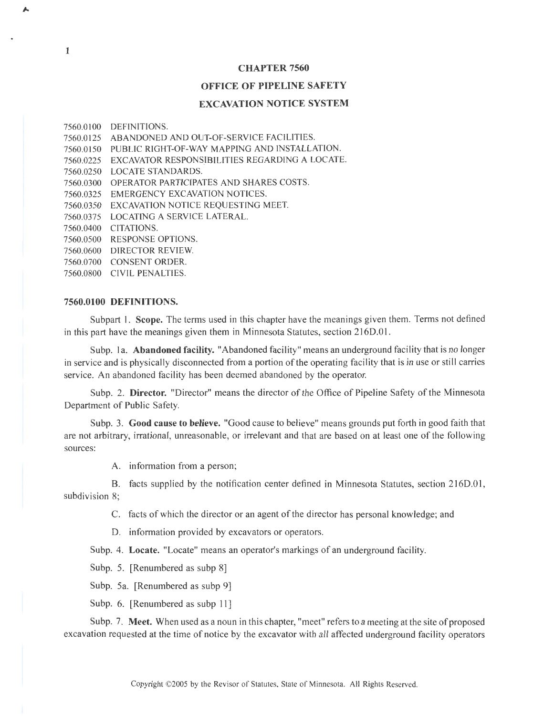#### **CHAPTER 7560**

# **OFFICE OF PIPELINE SAFETY**

# **EXCAVATION NOTICE SYSTEM**

7560.0100 DEFINITIONS. 7560.0125 ABANDONED AND OUT-OF-SERVICE FACILITIES. 7560.0150 PUBLIC RIGHT-OF-WAY MAPPING AND INSTALLATION. 7560.0225 EXCAVATOR RESPONSIBILITIES REGARDING A LOCATE. 7560.0250 LOCATE STANDARDS. 7560.0300 OPERATOR PARTICIPATES AND SHARES COSTS. 7560.0325 EMERGENCY EXCAVATION NOTICES. 7560.0350 EXCAVATION NOTICE REQUESTING MEET. 7560.0375 LOCATING A SERVICE LATERAL. 7560.0400 CITATIONS. 7560.0500 RESPONSE OPTIONS. 7560.0600 DIRECTOR REVIEW. 7560.0700 CONSENT ORDER. 7560.0800 CIVIL PENALTIES.

#### **7560.0100 DEFINITIONS.**

Subpart l. **Scope.** The terms used in this chapter have the meanings given them. Terms not defined in this part have the meanings given them in Minnesota Statutes, section 216D.01.

Subp. 1a. **Abandoned facility.** "Abandoned facility" means an underground facility that is no longer in service and is physically disconnected from a portion of the operating facility that is in use or still carries service. An abandoned facility has been deemed abandoned by the operator.

Subp. 2. **Director.** "Director" means the director of the Office of Pipeline Safety of the Minnesota Department of Public Safety.

Subp. 3. **Good cause to believe.** "Good cause to believe" means grounds put forth in good faith that are not arbitrary, irrational, unreasonable, or irrelevant and that are based on at least one of the following sources:

A. information from a person;

B. facts supplied by the notification center defined in Minnesota Statutes, section 216D.01, subdivision 8;

C. facts of which the director or an agent of the director has personal knowledge; and

D. information provided by excavators or operators.

Subp. 4. **Locate.** "Locate" means an operator's markings of an underground facility.

Subp. 5. [Renumbered as subp 8)

Subp. 5a. [Renumbered as subp 9)

Subp. 6. [Renumbered as subp 11)

Subp. 7. **Meet.** When used as a noun in this chapter, "meet" refers to a meeting at the site of proposed excavation requested at the time of notice by the excavator with all affected underground facility operators

:,..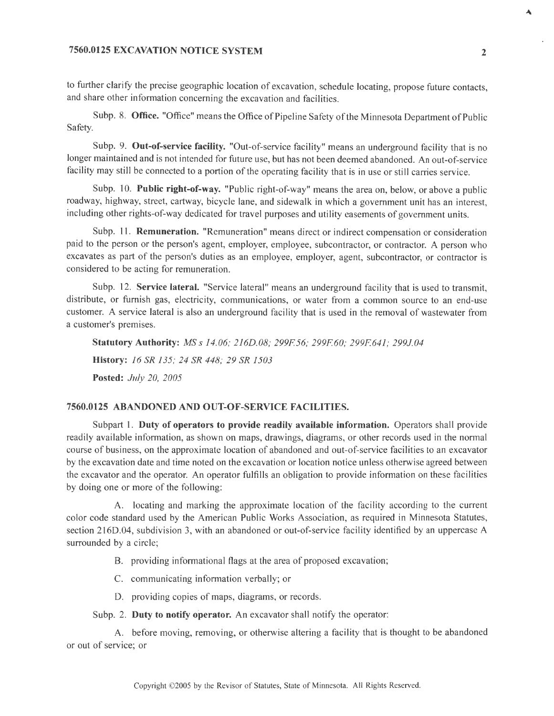## **7560.0125 EXCAVATION NOTICE SYSTEM <sup>2</sup>**

to further clarify the precise geographic location of excavation, schedule locating, propose future contacts, and share other information concerning the excavation and facilities.

Subp. 8. **Office.** "Office" means the Office of Pipeline Safety of the Minnesota Department of Public Safety.

Subp. 9. **Out-of-service facility.** "Out-of-service facility" means an underground facility that is no longer maintained and is not intended for future use, but has not been deemed abandoned. An out-of-service facility may still be connected to a portion of the operating facility that is in use or still carries service.

Subp. 10. **Public right-of-way.** "Public right-of-way" means the area on, below, or above a public roadway, highway, street, cartway, bicycle lane, and sidewalk in which a government unit has an interest, including other rights-of-way dedicated for travel purposes and utility easements of government units.

Subp. 11. **Remuneration.** "Remuneration" means direct or indirect compensation or consideration paid to the person or the person's agent, employer, employee, subcontractor, or contractor. A person who excavates as part of the person's duties as an employee, employer, agent, subcontractor, or contractor is considered to be acting for remuneration.

Subp. 12. **Service lateral.** "Service lateral" means an underground facility that is used to transmit, distribute, or furnish gas, electricity, communications, or water from a common source to an end-use customer. A service lateral is also an underground facility that is used in the removal of wastewater from a customer's premises.

**Statutory Authority:** *MS s 14.06; 216D.08; 299F56; 299F60; 299F641; 299J.04*  **History:** *16 SR 135; 24 SR 448; 29 SR 1503*  **Posted:** *July 20, 2005* 

### **7560.0125 ABANDONED AND OUT-OF-SERVICE FACILITIES.**

Subpart **1. Duty of operators to provide readily available information.** Operators shall provide readily available information, as shown on maps, drawings, diagrams, or other records used in the normal course of business, on the approximate location of abandoned and out-of-service facilities to an excavator by the excavation date and time noted on the excavation or location notice unless otherwise agreed between the excavator and the operator. An operator fulfills an obligation to provide information on these facilities by doing one or more of the following:

A. locating and marking the approximate location of the facility according to the current color code standard used by the American Public Works Association, as required in Minnesota Statutes, section 216D.04, subdivision 3, with an abandoned or out-of-service facility identified by an uppercase A surrounded by a circle;

- B. providing informational flags at the area of proposed excavation;
- C. communicating information verbally; or
- D. providing copies of maps, diagrams, or records.

Subp. 2. **Duty to notify operator.** An excavator shall notify the operator:

A. before moving, removing, or otherwise altering a facility that is thought to be abandoned or out of service; or

 $\ddot{\phantom{1}}$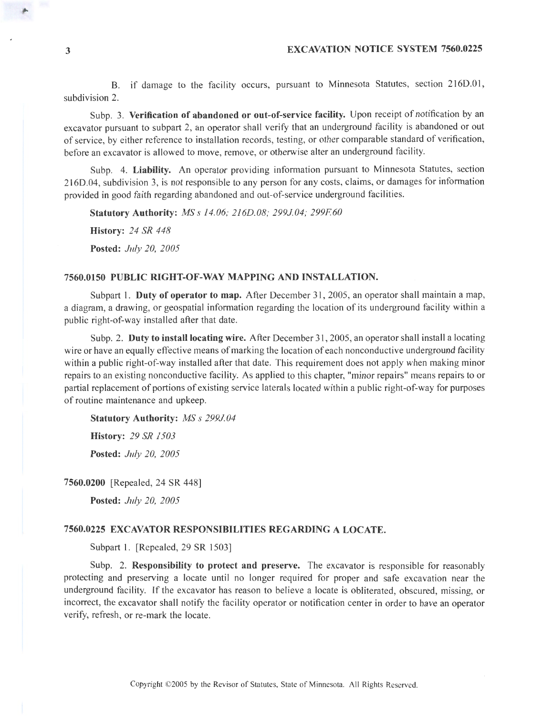B. if damage to the facility occurs, pursuant to Minnesota Statutes, section 216D.01, subdivision 2.

Subp. 3. **Verification of abandoned or out-of-service facility.** Upon receipt of notification by an excavator pursuant to subpart 2, an operator shall verify that an underground facility is abandoned or out of service, by either reference to installation records, testing, or other comparable standard of verification, before an excavator is allowed to move, remove, or otherwise alter an underground facility.

Subp. 4. **Liability.** An operator providing information pursuant to Minnesota Statutes, section 216D.04, subdivision 3, is not responsible to any person for any costs, claims, or damages for information provided in good faith regarding abandoned and out-of-service underground facilities.

**Statutory Authority:** *MS s 14.06; 216D.08; 299J.04; 299F.60*  **History:** *24 SR 448*  **Posted:** *July 20, 2005* 

## **7560.0150 PUBLIC RIGHT-OF-WAY MAPPING AND INSTALLATION.**

Subpart I. **Duty of operator to map.** After December 31, 2005, an operator shall maintain a map, a diagram, a drawing, or geospatial information regarding the location of its underground facility within a public right-of-way installed after that date.

Subp. 2. **Duty to install locating wire.** After December 31, 2005, an operator shall install a locating wire or have an equally effective means of marking the location of each nonconductive underground facility within a public right-of-way installed after that date. This requirement does not apply when making minor repairs to an existing nonconductive facility. As applied to this chapter, "minor repairs" means repairs to or partial replacement of portions of existing service laterals located within a public right-of-way for purposes of routine maintenance and upkeep.

**Statutory Authority:** *MS* s *299J. 04* 

**History:** *29 SR 1503*  **Posted:** *July 20, 2005* 

**7560.0200** [Repealed, 24 SR 448]

**Posted:** *July 20, 2005* 

### **7560.0225 EXCAVATOR RESPONSIBILITIES REGARDING A LOCATE.**

Subpart 1. [Repealed, 29 SR 1503]

Subp. 2. **Responsibility to protect and preserve.** The excavator is responsible for reasonably protecting and preserving a locate until no longer required for proper and safe excavation near the underground facility. If the excavator has reason to believe a locate is obliterated, obscured, missing, or incorrect, the excavator shall notify the facility operator or notification center in order to have an operator verify, refresh, or re-mark the locate.

,.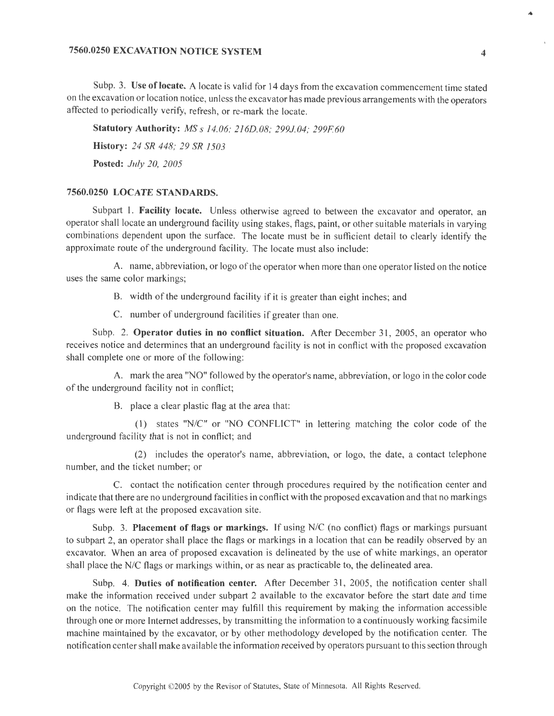Subp. 3. **Use oflocate.** A locate is valid for 14 days from the excavation commencement time stated on the excavation or location notice, unless the excavator has made previous arrangements with the operators affected to periodically verify, refresh, or re-mark the locate.

**Statutory Authority:** *MS s 14.06; 216D.08; 299J.04; 299F60*  **History:** *24 SR 448; 29 SR 1503*  **Posted:** *July 20, 2005* 

### **7560.0250 LOCATE STANDARDS.**

Subpart I. **Facility locate.** Unless otherwise agreed to between the excavator and operator, an operator shall locate an underground facility using stakes, flags, paint, or other suitable materials in varying combinations dependent upon the surface. The locate must be in sufficient detail to clearly identify the approximate route of the underground facility. The locate must also include:

A. name, abbreviation, or logo of the operator when more than one operator listed on the notice uses the same color markings;

- B. width of the underground facility if it is greater than eight inches; and
- C. number of underground facilities if greater than one.

Subp. 2. **Operator duties in no conflict situation.** After December 31, 2005, an operator who receives notice and determines that an underground facility is not in conflict with the proposed excavation shall complete one or more of the following:

A. mark the area "NO" followed by the operator's name, abbreviation, or logo in the color code of the underground facility not in conflict;

B. place a clear plastic flag at the area that:

(I) states "N/C" or "NO CONFLICT" in lettering matching the color code of the underground facility that is not in conflict; and

(2) includes the operator's name, abbreviation, or logo, the date, a contact telephone number, and the ticket number; or

C. contact the notification center through procedures required by the notification center and indicate that there are no underground facilities in conflict with the proposed excavation and that no markings or flags were left at the proposed excavation site.

Subp. 3. **Placement of Hags or markings.** If using N/C (no conflict) flags or markings pursuant to subpart 2, an operator shall place the flags or markings in a location that can be readily observed by an excavator. When an area of proposed excavation is delineated by the use of white markings, an operator shall place the N/C flags or markings within, or as near as practicable to, the delineated area.

Subp. 4. **Duties of notification center.** After December 31 , 2005, the notification center shall make the information received under subpart 2 available to the excavator before the start date and time on the notice. The notification center may fulfill this requirement by making the information accessible through one or more Internet addresses, by transmitting the information to a continuously working facsimile machine maintained by the excavator, or by other methodology developed by the notification center. The notification center shall make available the information received by operators pursuant to this section through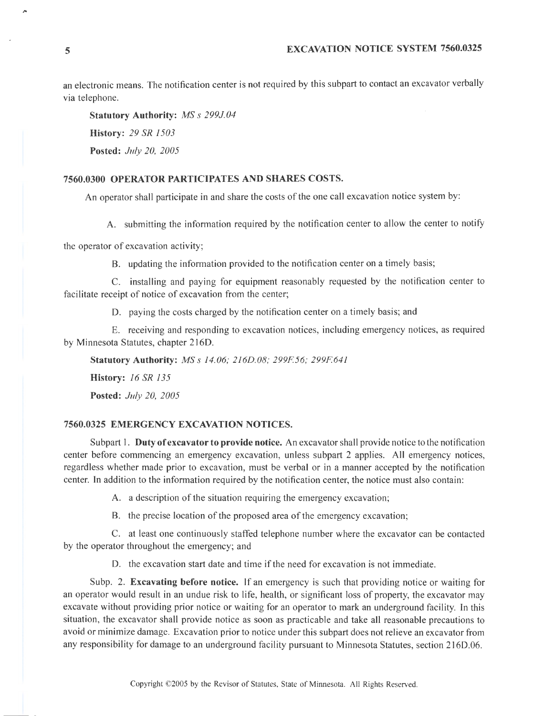an electronic means. The notification center is not required by this subpart to contact an excavator verbally via telephone.

**Statutory Authority:** *MS s 299J.04* 

**History:** *29 SR 1503* 

**Posted:** *July 20, 2005* 

## **7560.0300 OPERATOR PARTICIPATES AND SHARES COSTS.**

An operator shall participate in and share the costs of the one call excavation notice system by:

A. submitting the information required by the notification center to allow the center to notify

the operator of excavation activity;

B. updating the information provided to the notification center on a timely basis;

C. installing and paying for equipment reasonably requested by the notification center to facilitate receipt of notice of excavation from the center;

D. paying the costs charged by the notification center on a timely basis; and

E. receiving and responding to excavation notices, including emergency notices, as required by Minnesota Statutes, chapter 216D.

**Statutory Authority:** *MS* s *14.06; 216D.08; 299F56; 299F641* 

**History:** *16 SR 135* 

**Posted:** *July 20, 2005* 

#### **7560.0325 EMERGENCY EXCAVATION NOTICES.**

Subpart I. **Duty of excavator to provide notice.** An excavator shall provide notice to the notification center before commencing an emergency excavation, unless subpart 2 applies. All emergency notices, regardless whether made prior to excavation, must be verbal or in a manner accepted by the notification center. In addition to the information required by the notification center, the notice must also contain:

A. a description of the situation requiring the emergency excavation;

B. the precise location of the proposed area of the emergency excavation;

C. at least one continuously staffed telephone number where the excavator can be contacted by the operator throughout the emergency; and

D. the excavation start date and time if the need for excavation is not immediate.

Subp. 2. **Excavating before notice.** If an emergency is such that providing notice or waiting for an operator would result in an undue risk to life, health, or significant loss of property, the excavator may excavate without providing prior notice or waiting for an operator to mark an underground facility. In this situation, the excavator shall provide notice as soon as practicable and take all reasonable precautions to avoid or minimize damage. Excavation prior to notice under this subpart does not relieve an excavator from any responsibility for damage to an underground facility pursuant to Minnesota Statutes, section 216D.06.

;.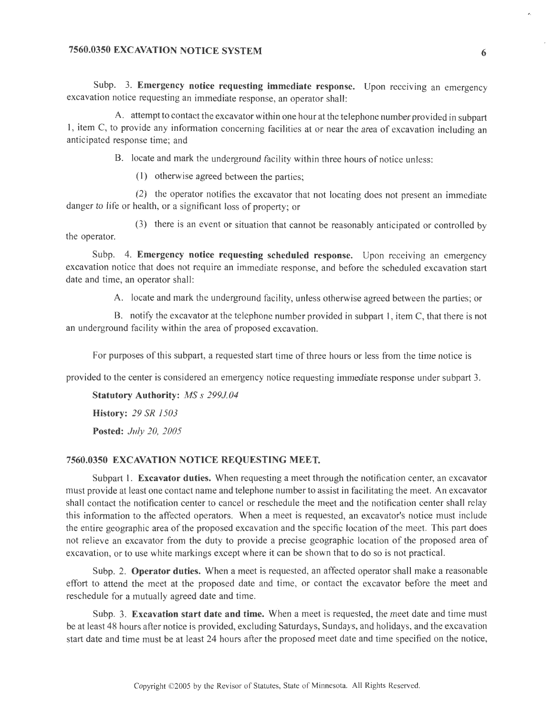Subp. 3. **Emergency notice requesting immediate response.** Upon receiving an emergency excavation notice requesting an immediate response, an operator shall:

A. attempt to contact the excavator within one hour at the telephone number provided in subpart I, item C, to provide any information concerning facilities at or near the area of excavation including an anticipated response time; and

B. locate and mark the underground facility within three hours of notice unless:

(I) otherwise agreed between the parties;

(2) the operator notifies the excavator that not locating does not present an immediate danger to life or health, or a significant loss of property; or

(3) there is an event or situation that cannot be reasonably anticipated or controlled by the operator.

Subp. 4. **Emergency notice requesting scheduled response.** Upon receiving an emergency excavation notice that does not require an immediate response, and before the scheduled excavation start date and time, an operator shall:

A. locate and mark the underground facility, unless otherwise agreed between the parties; or

B. notify the excavator at the telephone number provided in subpart I, item C, that there is not an underground facility within the area of proposed excavation.

For purposes of this subpart, a requested start time of three hours or less from the time notice is

provided to the center is considered an emergency notice requesting immediate response under subpart 3.

**Statutory Authority:** *MS s 299J. 04* 

**History:** *29 SR 1503* 

**Posted:** *July 20, 2005* 

#### **7560.0350 EXCAVATION NOTICE REQUESTING MEET.**

Subpart 1. **Excavator duties.** When requesting a meet through the notification center, an excavator must provide at least one contact name and telephone number to assist in facilitating the meet. An excavator shall contact the notification center to cancel or reschedule the meet and the notification center shall relay this information to the affected operators. When a meet is requested, an excavator's notice must include the entire geographic area of the proposed excavation and the specific location of the meet. This part does not relieve an excavator from the duty to provide a precise geographic location of the proposed area of excavation, or to use white markings except where it can be shown that to do so is not practical.

Subp. 2. **Operator duties.** When a meet is requested, an affected operator shall make a reasonable effort to attend the meet at the proposed date and time, or contact the excavator before the meet and reschedule for a mutually agreed date and time.

Subp. 3. **Excavation start date and time.** When a meet is requested, the meet date and time must be at least 48 hours after notice is provided, excluding Saturdays, Sundays, and holidays, and the excavation start date and time must be at least 24 hours after the proposed meet date and time specified on the notice, -.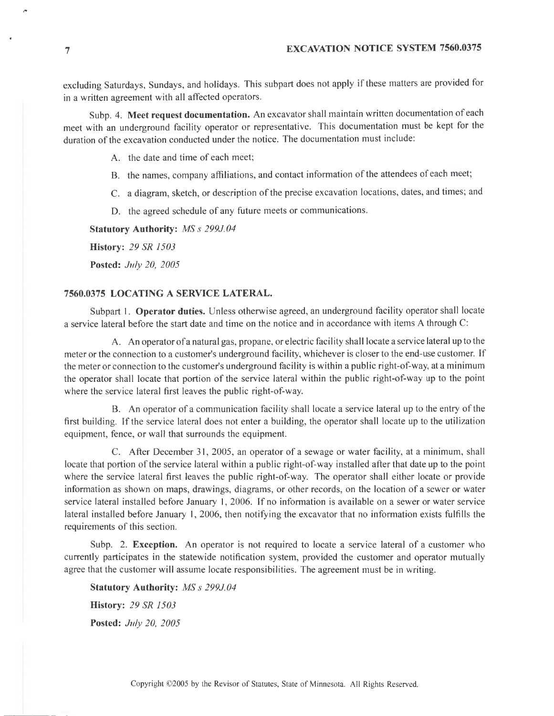excluding Saturdays, Sundays, and holidays. This subpart does not apply if these matters are provided for in a written agreement with all affected operators.

Subp. 4. **Meet request documentation.** An excavator shall maintain written documentation of each meet with an underground facility operator or representative. This documentation must be kept for the duration of the excavation conducted under the notice. The documentation must include:

- A. the date and time of each meet;
- B. the names, company affiliations, and contact information of the attendees of each meet;
- C. a diagram, sketch, or description of the precise excavation locations, dates, and times; and
- D. the agreed schedule of any future meets or communications.

**Statutory Authority:** *MS s 299J. 04* 

**History:** *29 SR 1503* 

**Posted:** *July 20, 2005* 

# **7560.0375 LOCATING A SERVICE LATERAL.**

Subpart 1. **Operator duties.** Unless otherwise agreed, an underground facility operator shall locate a service lateral before the start date and time on the notice and in accordance with items A through C:

A. An operator of a natural gas, propane, or electric facility shall locate a service lateral up to the meter or the connection to a customer's underground facility, whichever is closer to the end-use customer. If the meter or connection to the customer's underground facility is within a public right-of-way, at a minimum the operator shall locate that portion of the service lateral within the public right-of-way up to the point where the service lateral first leaves the public right-of-way.

B. An operator of a communication facility shall locate a service lateral up to the entry of the first building. If the service lateral does not enter a building, the operator shall locate up to the utilization equipment, fence, or wall that surrounds the equipment.

C. After December 31, 2005, an operator of a sewage or water facility, at a minimum, shall locate that portion of the service lateral within a public right-of-way installed after that date up to the point where the service lateral first leaves the public right-of-way. The operator shall either locate or provide information as shown on maps, drawings, diagrams, or other records, on the location of a sewer or water service lateral installed before January 1, 2006. If no information is available on a sewer or water service lateral installed before January I, 2006, then notifying the excavator that no information exists fulfills the requirements of this section.

Subp. 2. **Exception.** An operator is not required to locate a service lateral of a customer who currently participates in the statewide notification system, provided the customer and operator mutually agree that the customer will assume locate responsibilities. The agreement must be in writing.

**Statutory Authority:** *MS s 299J.04*  **History:** *29 SR 1503*  **Posted:** *July 20, 2005* 

,.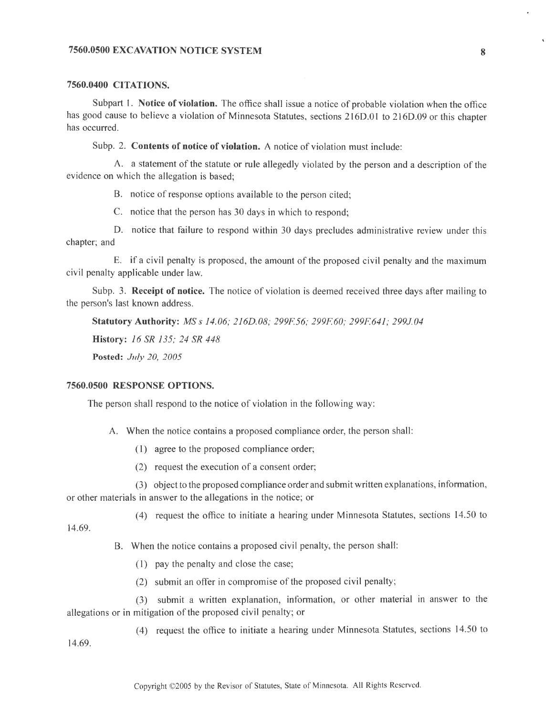### **7560.0500 EXCAVATION NOTICE SYSTEM 8**

# **7560.0400 CITATIONS.**

Subpart l. **Notice of violation.** The office shall issue a notice of probable violation when the office has good cause to believe a violation of Minnesota Statutes, sections 216D.01 to 216D.09 or this chapter has occurred.

Subp. 2. **Contents of notice of violation.** A notice of violation must include:

A. a statement of the statute or rule allegedly violated by the person and a description of the evidence on which the allegation is based;

B. notice of response options available to the person cited;

C. notice that the person has 30 days in which to respond;

D. notice that failure to respond within 30 days precludes administrative review under this chapter; and

E. if a civil penalty is proposed, the amount of the proposed civil penalty and the maximum civil penalty applicable under law.

Subp. 3. **Receipt of notice.** The notice of violation is deemed received three days after mailing to the person's last known address.

**Statutory Authority:** *MS* s *14.06; 216D.08; 299F56; 299F60; 299F641; 299J.04* 

**History:** *16 SR 135; 24 SR 448* 

**Posted:** *July 20, 2005* 

#### **7560.0500 RESPONSE OPTIONS.**

The person shall respond to the notice of violation in the following way:

A. When the notice contains a proposed compliance order, the person shall:

- (1) agree to the proposed compliance order;
- (2) request the execution of a consent order;

(3) object to the proposed compliance order and submit written explanations, information, or other materials in answer to the allegations in the notice; or

( 4) request the office to initiate a hearing under Minnesota Statutes, sections 14.50 to

14.69.

B. When the notice contains a proposed civil penalty, the person shall:

- (1) pay the penalty and close the case;
- (2) submit an offer in compromise of the proposed civil penalty;

(3) submit a written explanation, information, or other material in answer to the allegations or in mitigation of the proposed civil penalty; or

( 4) request the office to initiate a hearing under Minnesota Statutes, sections 14.50 to

14.69.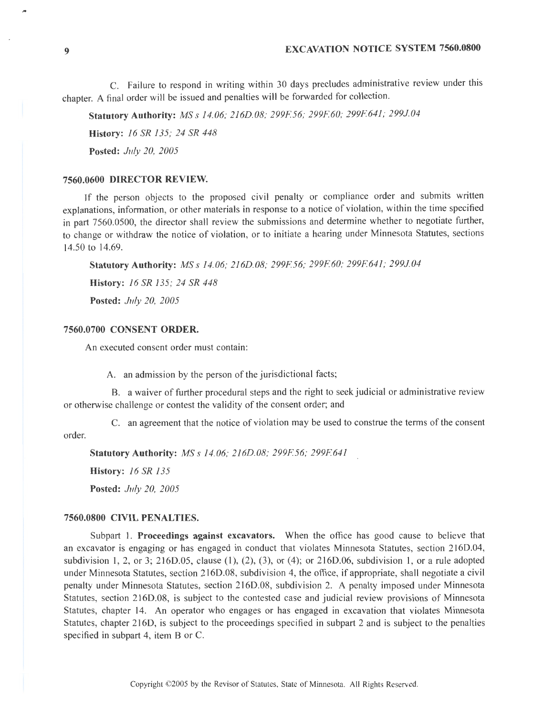C. Failure to respond in writing within 30 days precludes administrative review under this chapter. A final order will be issued and penalties will be forwarded for collection.

**Statutory Authority:** *MS s 14.06; 216D.08; 299F56; 299F60; 299F641; 299J.04* 

**History:** *16 SR 135; 24 SR 448* 

**Posted:** *July 20, 2005* 

# **7560.0600 DIRECTOR REVIEW.**

If the person objects to the proposed civil penalty or compliance order and submits written explanations, information, or other materials in response to a notice of violation, within the time specified in part 7560.0500, the director shall review the submissions and determine whether to negotiate further, to change or withdraw the notice of violation, or to initiate a hearing under Minnesota Statutes, sections 14.50 to 14.69.

**Statutory Authority:** *MS* s *14.06; 216D.08; 299F56; 299F60; 299F641; 299J.04* 

**History:** *16 SR 135; 24 SR 448* 

**Posted:** *July 20, 2005* 

# **7560.0700 CONSENT ORDER.**

An executed consent order must contain:

A. an admission by the person of the jurisdictional facts;

B. a waiver of further procedural steps and the right to seek judicial or administrative review or otherwise challenge or contest the validity of the consent order; and

order. C. an agreement that the notice of violation may be used to construe the terms of the consent

**Statutory Authority:** *MS* s *14.06; 216D.08; 299F56; 299F641* 

**History:** *16 SR 135* 

**Posted:** *July 20, 2005* 

#### **7560.0800 CIVIL PENALTIES.**

Subpart I. **Proceedings against excavators.** When the office has good cause to believe that an excavator is engaging or has engaged in conduct that violates Minnesota Statutes, section 216D.04, subdivision 1, 2, or 3; 216D.05, clause (1), (2), (3), or (4); or 216D.06, subdivision I, or a rule adopted under Minnesota Statutes, section 216D.08, subdivision 4, the office, if appropriate, shall negotiate a civil penalty under Minnesota Statutes, section 216D.08, subdivision 2. A penalty imposed under Minnesota Statutes, section 216D.08, is subject to the contested case and judicial review provisions of Minnesota Statutes, chapter 14. An operator who engages or has engaged in excavation that violates Minnesota Statutes, chapter 216D, is subject to the proceedings specified in subpart 2 and is subject to the penalties specified in subpart 4, item B or C.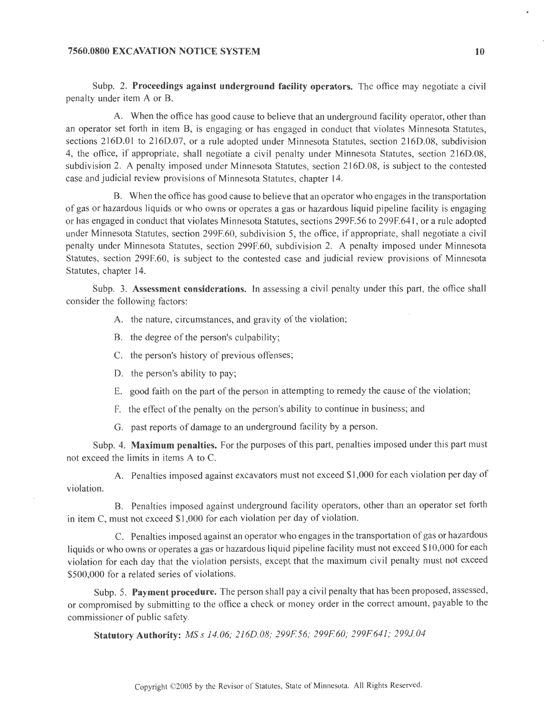Subp. 2. **Proceedings against underground facility operators.** The office may negotiate a civil penalty under item A or B.

A. When the office has good cause to believe that an underground facility operator, other than an operator set forth in item B, is engaging or has engaged **in** conduct that violates Minnesota Statutes, sections 216D.01 to 216D.07, or a rule adopted under Minnesota Statutes, section 216D.08, subdivision 4, the office, if appropriate, shall negotiate a civil penalty under Minnesota Statutes, section 216D.08, subdivision 2. A penalty imposed under Minnesota Statutes, section 216D.08, is subject to the contested case and judicial review provisions of Minnesota Statutes, chapter 14.

B. When the office has good cause to believe that an operator who engages in the transportation of gas or hazardous liquids or who owns or operates a gas or hazardous liquid pipeline facility is engaging or has engaged in conduct that violates Minnesota Statutes, sections 299F.56 to 299F.641 , or a rule adopted under Minnesota Statutes, section 299F.60, subdivision 5, the office, if appropriate, shall negotiate a civil penalty under Minnesota Statutes, section 299F.60, subdivision 2. A penalty imposed under Minnesota Statutes, section 299F.60, is subject to the contested case and judicial review provisions of Minnesota Statutes, chapter 14.

Subp. 3. **Assessment considerations.** In assessing a civil penalty under this part, the office shall consider the following factors:

A. the nature, circumstances, and gravity of the violation;

- B. the degree of the person's culpability;
- C. the person's history of previous offenses;
- D. the person's ability to pay;
- E. good faith on the part of the person in attempting to remedy the cause of the violation;
- F. the effect of the penalty on the person's ability to continue in business; and
- G. past reports of damage to an underground facility by a person.

Subp. 4. **Maximum penalties.** For the purposes of this part, penalties imposed under this part must not exceed the limits in items A to C.

A. Penalties imposed against excavators must not exceed \$1 ,000 for each violation per day of violation.

B. Penalties imposed against underground facility operators, other than an operator set forth in item C, must not exceed \$1 ,000 for each violation per day of violation.

C. Penalties imposed against an operator who engages in the transportation of gas or hazardous liquids or who owns or operates a gas or hazardous liquid pipeline facility must not exceed \$10,000 for each violation for each day that the violation persists, except that the maximum civil penalty must not exceed \$500,000 for a related series of violations.

Subp. 5. **Payment procedure.** The person shall pay a civil penalty that has been proposed, assessed, or compromised by submitting to the office a check or money order in the correct amount, payable to the commissioner of public safety.

**Statutory Authority:** *MS s 14.06; 216D.08; 299F56; 299F60; 299F641; 299J.04*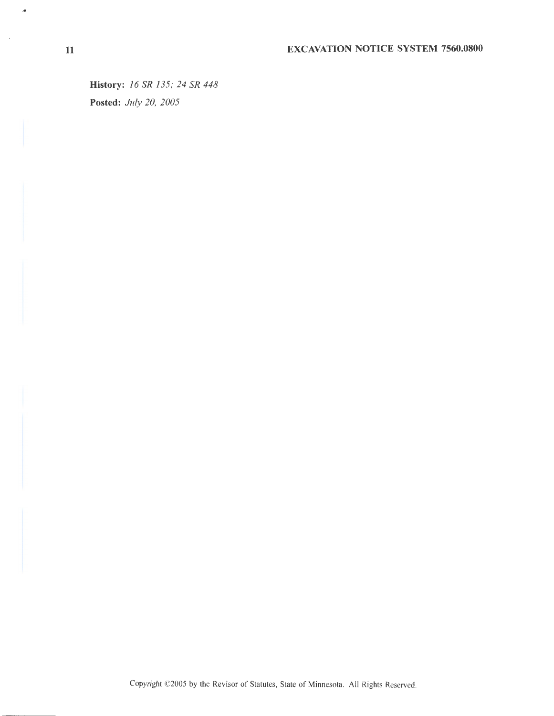**History:** *16 SR 135; 24 SR 448*  **Posted:** *July 20, 2005* 

,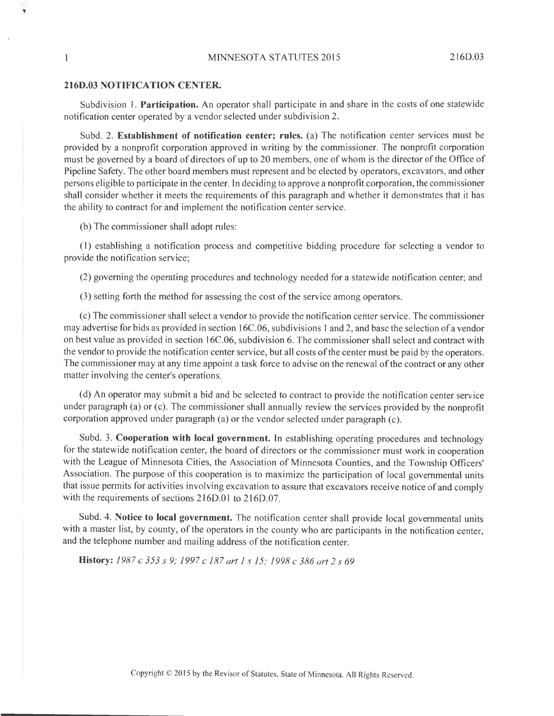# **216D.03 NOTIFICATION CENTER.**

*<sup>v</sup>'* 

 $\mathbf{1}$ 

Subdivision 1. **Participation.** An operator shall participate in and share in the costs of one statewide notification center operated by a vendor selected under subdivision 2.

Subd. 2. **Establishment of notification center; rules.** (a) The notification center services must be provided by a nonprofit corporation approved in writing by the commissioner. The nonprofit corporation must be governed by a board of directors of up to 20 members, one of whom is the director of the Office of Pipeline Safety. The other board members must represent and be elected by operators, excavators, and other persons eligible to participate in the center. In deciding to approve a nonprofit corporation, the commissioner shall consider whether it meets the requirements of this paragraph and whether it demonstrates that it has the ability to contract for and implement the notification center service.

(b) The commissioner shall adopt rules:

(1) establishing a notification process and competitive bidding procedure for selecting a vendor to provide the notification service;

(2) governing the operating procedures and technology needed for a statewide notification center; and

(3) setting forth die method for assessing the cost of the service among operators.

( c) The commissioner shall select a vendor to provide the notification center service. The commissioner may advertise for bids as provided in section l 6C.06, subdivisions 1 and 2, and base the selection of a vendor on best value as provided in section 16C.06, subdivision 6. The commissioner shall select and contract with the vendor to provide the notification center service, but all costs of the center must be paid by the operators. The commissioner may at any time appoint a task force to advise on the renewal of the contract or any other matter involving the center's operations.

( d) An operator may submit a bid and be selected to contract to provide the notification center service under paragraph (a) or (c). The commissioner shall annually review the services provided by the nonprofit corporation approved under paragraph (a) or the vendor selected under paragraph (c).

Subd. 3. **Cooperation with local government.** In establishing operating procedures and technology for the statewide notification center, the board of directors or the commissioner must work in cooperation with the League of Minnesota Cities, the Association of Minnesota Counties, and the Township Officers' Association. The purpose of this cooperation is to maximize the participation of local governmental units that issue permits for activities involving excavation to assure that excavators receive notice of and comply with the requirements of sections 216D.01 to 216D.07.

Subd. 4. **Notice to local government.** The notification center shall provide local governmental units with a master list, by county, of the operators in the county who are participants in the notification center, and the telephone number and mailing address of the notification center.

**History:** *1987 c 353 s 9; 1997 c 187 art 1 s 15; 1998 c 386 art 2 s 69*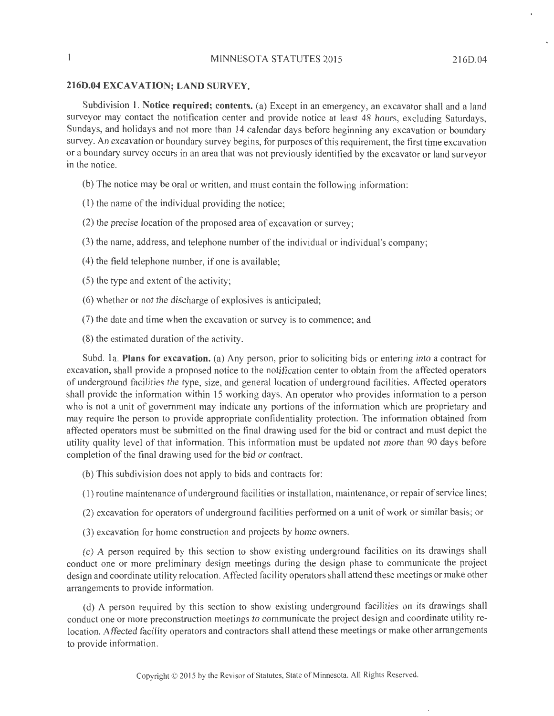# **216D.04 EXCAVATION; LAND SURVEY.**

Subdivision 1. **Notice required; contents.** (a) Except in an emergency, an excavator shall and a land surveyor may contact the notification center and provide notice at least 48 hours, excluding Saturdays, Sundays, and holidays and not more than 14 calendar days before beginning any excavation or boundary survey. An excavation or boundary survey begins, for purposes of this requirement, the first time excavation or a boundary survey occurs in an area that was not previously identified by the excavator or land surveyor in the notice.

- (b) The notice may be oral or written, and must contain the following information:
- (1) the name of the individual providing the notice;
- (2) the precise location of the proposed area of excavation or survey;
- (3) the name, address, and telephone number of the individual or individual's company;
- ( 4) the field telephone number, if one is available;
- (5) the type and extent of the activity;
- (6) whether or not the discharge of explosives is anticipated;
- (7) the date and time when the excavation or survey is to commence; and
- (8) the estimated duration of the activity.

Subd. la. **Plans for excavation.** (a) Any person, prior to soliciting bids or entering into a contract for excavation, shall provide a proposed notice to the notification center to obtain from the affected operators of underground facilities the type, size, and general location of underground facilities. Affected operators shall provide the information within 15 working days. An operator who provides information to a person who is not a unit of government may indicate any portions of the information which are proprietary and may require the person to provide appropriate confidentiality protection. The information obtained from affected operators must be submitted on the final drawing used for the bid or contract and must depict the utility quality level of that information. This information must be updated not more than 90 days before completion of the final drawing used for the bid or contract.

- (b) This subdivision does not apply to bids and contracts for:
- (1) routine maintenance ofunderground facilities or installation, maintenance, or repair of service lines;
- (2) excavation for operators of underground facilities performed on a unit of work or similar basis; or
- (3) excavation for home construction and projects by home owners.

(c) A person required by this section to show existing underground facilities on its drawings shall conduct one or more preliminary design meetings during the design phase to communicate the project design and coordinate utility relocation. Affected facility operators shall attend these meetings or make other arrangements to provide information.

(d) A person required by this section to show existing underground facilities on its drawings shall conduct one or more preconstruction meetings to communicate the project design and coordinate utility relocation. Affected facility operators and contractors shall attend these meetings or make other arrangements to provide information.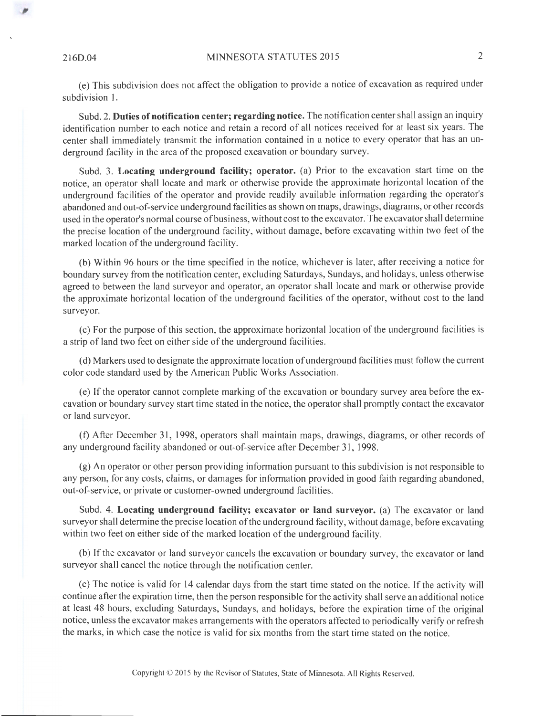,

(e) This subdivision does not affect the obligation to provide a notice of excavation as required under subdivision 1.

Subd. 2. **Duties of notification center; regarding notice.** The notification center shall assign an inquiry identification number to each notice and retain a record of all notices received for at least six years. The center shall immediately transmit the information contained in a notice to every operator that has an underground facility in the area of the proposed excavation or boundary survey.

Subd. 3. **Locating underground facility; operator.** (a) Prior to the excavation start time on the notice, an operator shall locate and mark or otherwise provide the approximate horizontal location of the underground facilities of the operator and provide readily available information regarding the operator's abandoned and out-of-service underground facilities as shown on maps, drawings, diagrams, or other records used in the operator's normal course of business, without cost to the excavator. The excavator shall determine the precise location of the underground facility, without damage, before excavating within two feet of the marked location of the underground facility.

(b) Within 96 hours or the time specified in the notice, whichever is later, after receiving a notice for boundary survey from the notification center, excluding Saturdays, Sundays, and holidays, unless otherwise agreed to between the land surveyor and operator, an operator shall locate and mark or otherwise provide the approximate horizontal location of the underground facilities of the operator, without cost to the land surveyor.

(c) For the purpose of this section, the approximate horizontal location of the underground facilities is a strip of land two feet on either side of the underground facilities.

( d) Markers used to designate the approximate location ofunderground facilities must follow the current color code standard used by the American Public Works Association.

(e) If the operator cannot complete marking of the excavation or boundary survey area before the excavation or boundary survey start time stated in the notice, the operator shall promptly contact the excavator or land surveyor.

(f) After December 31, 1998, operators shall maintain maps, drawings, diagrams, or other records of any underground facility abandoned or out-of-service after December 31, 1998.

(g) An operator or other person providing information pursuant to this subdivision is not responsible to any person, for any costs, claims, or damages for information provided in good faith regarding abandoned, out-of-service, or private or customer-owned underground facilities.

Subd. 4. **Locating underground facility; excavator or land surveyor.** (a) The excavator or land surveyor shall determine the precise location of the underground facility, without damage, before excavating within two feet on either side of the marked location of the underground facility.

(b) If the excavator or land surveyor cancels the excavation or boundary survey, the excavator or land surveyor shall cancel the notice through the notification center.

( c) The notice is valid for 14 calendar days from the start time stated on the notice. If the activity will continue after the expiration time, then the person responsible for the activity shall serve an additional notice at least 48 hours, excluding Saturdays, Sundays, and holidays, before the expiration time of the original notice, unless the excavator makes arrangements with the operators affected to periodically verify or refresh the marks, in which case the notice is valid for six months from the start time stated on the notice.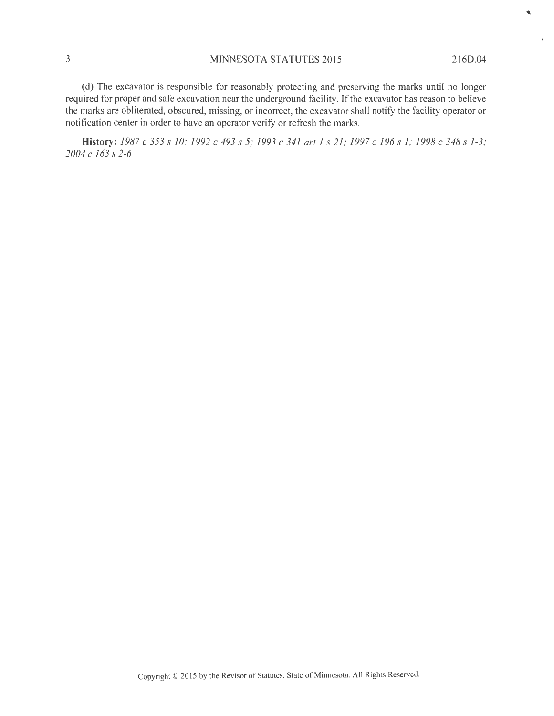'-

(d) The excavator is responsible for reasonably protecting and preserving the marks until no longer required for proper and safe excavation near the underground facility. If the excavator has reason to believe the marks are obliterated, obscured, missing, or incorrect, the excavator shall notify the facility operator or notification center in order to have an operator verify or refresh the marks.

**History:** *1987 c 353 s JO; 1992 c 493 s 5; 1993 c 341 art 1 s 21; 1997 c 196 s I; 1998 c 348 s 1-3; 2004* C *163* S *2-6*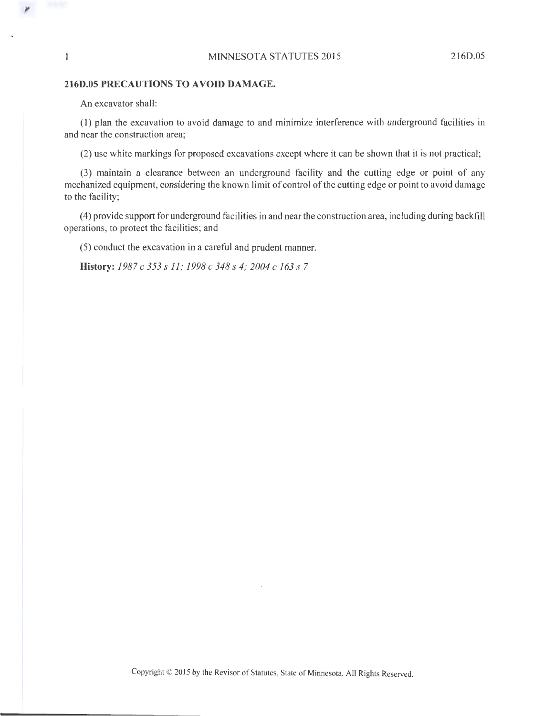# MINNESOTA STATUTES 2015 216D.05

# **216D.05 PRECAUTIONS TO A VOID DAMAGE.**

An excavator shall:

,,

 $\mathbf{1}$ 

(1) plan the excavation to avoid damage to and minimize interference with underground facilities in and near the construction area;

(2) use white markings for proposed excavations except where it can be shown that it is not practical;

(3) maintain a clearance between an underground facility and the cutting edge or point of any mechanized equipment, considering the known limit of control of the cutting edge or point to avoid damage to the facility;

( 4) provide support for underground facilities in and near the construction area, including during backfill operations, to protect the facilities; and

(5) conduct the excavation in a careful and prudent manner.

**History:** *1987 c 353 s 11; 1998 c 348 s 4; 2004 c 163 s* 7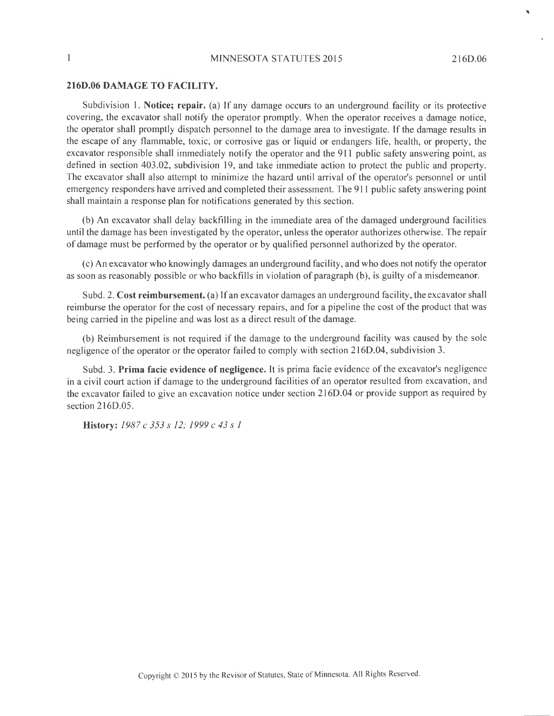# **216D.06 DAMAGE TO FACILITY.**

Subdivision 1. **Notice; repair.** (a) If any damage occurs to an underground facility or its protective covering, the excavator shall notify the operator promptly. When the operator receives a damage notice, the operator shall promptly dispatch personnel to the damage area to investigate. If the damage results in the escape of any flammable, toxic, or corrosive gas or liquid or endangers life, health, or property, the excavator responsible shall immediately notify the operator and the 911 public safety answering point, as defined in section 403.02, subdivision 19, and take immediate action to protect the public and property. The excavator shall also attempt to minimize the hazard until arrival of the operator's personnel or until emergency responders have arrived and completed their assessment. The 911 public safety answering point shall maintain a response plan for notifications generated by this section.

(b) An excavator shall delay backfilling in the immediate area of the damaged underground facilities until the damage has been investigated by the operator, unless the operator authorizes otherwise. The repair of damage must be performed by the operator or by qualified personnel authorized by the operator.

(c) An excavator who knowingly damages an underground facility, and who does not notify the operator as soon as reasonably possible or who backfills in violation of paragraph (b), is guilty of a misdemeanor.

Subd. 2. **Cost reimbursement.** (a) If an excavator damages an underground facility, the excavator shall reimburse the operator for the cost of necessary repairs, and for a pipeline the cost of the product that was being carried in the pipeline and was lost as a direct result of the damage.

(b) Reimbursement is not required if the damage to the underground facility was caused by the sole negligence of the operator or the operator failed to comply with section 216D.04, subdivision 3.

Subd. 3. **Prima facie evidence of negligence.** It is prima facie evidence of the excavator's negligence in a civil court action if damage to the underground facilities of an operator resulted from excavation, and the excavator failed to give an excavation notice under section 216D.04 or provide support as required by section 216D.05.

**History:** *1987 c 353 s 12; 1999 c 43 s 1*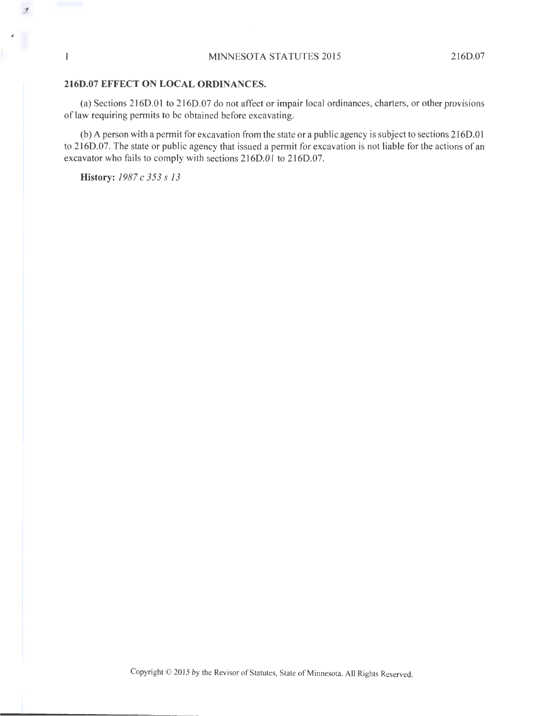# **216D.07 EFFECT ON LOCAL ORDINANCES.**

(a) Sections 216D.01 to 216D.07 do not affect or impair local ordinances, charters, or other provisions of law requiring permits to be obtained before excavating.

(b) A person with a permit for excavation from the state or a public agency is subject to sections 216D.0 1 to 216D.07. The state or public agency that issued a permit for excavation is not liable for the actions of an excavator who fails to comply with sections 216D.01 to 216D.07.

**History:** *1987* c *353 s 13* 

 $\mathbf{1}$ 

.,

*,I*